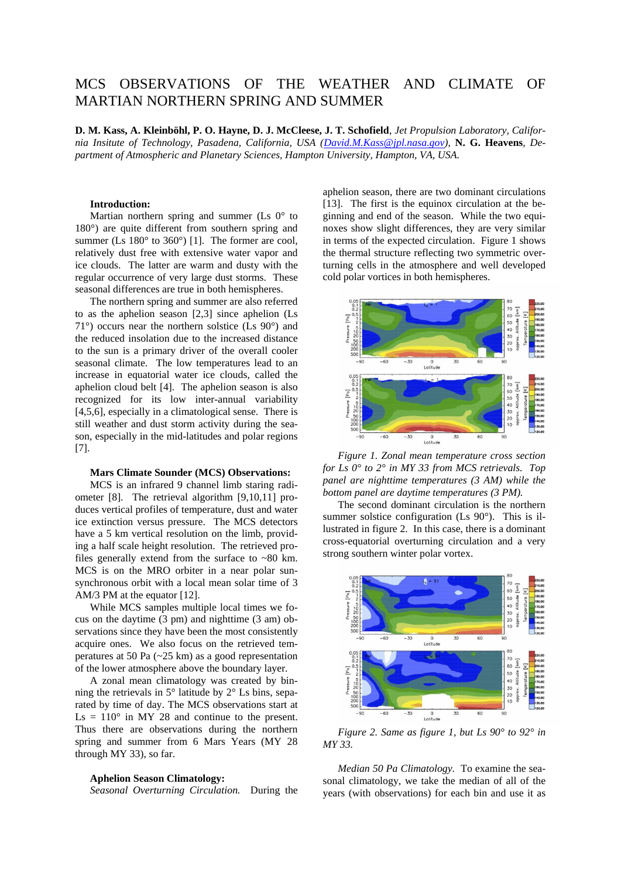# MCS OBSERVATIONS OF THE WEATHER AND CLIMATE OF MARTIAN NORTHERN SPRING AND SUMMER

**D. M. Kass, A. Kleinböhl, P. O. Hayne, D. J. McCleese, J. T. Schofield**, *Jet Propulsion Laboratory, California Insitute of Technology, Pasadena, California, USA [\(David.M.Kass@jpl.nasa.gov\)](mailto:David.M.Kass@jpl.nasa.gov)*, **N. G. Heavens**, *Department of Atmospheric and Planetary Sciences, Hampton University, Hampton, VA, USA.*

## **Introduction:**

Martian northern spring and summer (Ls  $0^{\circ}$  to  $180^\circ$ ) are quite different from southern spring and summer (Ls  $180^\circ$  to  $360^\circ$ ) [1]. The former are cool, relatively dust free with extensive water vapor and ice clouds. The latter are warm and dusty with the regular occurrence of very large dust storms. These seasonal differences are true in both hemispheres.

The northern spring and summer are also referred to as the aphelion season [2,3] since aphelion (Ls 71°) occurs near the northern solstice (Ls 90°) and the reduced insolation due to the increased distance to the sun is a primary driver of the overall cooler seasonal climate. The low temperatures lead to an increase in equatorial water ice clouds, called the aphelion cloud belt [4]. The aphelion season is also recognized for its low inter-annual variability [4,5,6], especially in a climatological sense. There is still weather and dust storm activity during the season, especially in the mid-latitudes and polar regions [7].

## **Mars Climate Sounder (MCS) Observations:**

MCS is an infrared 9 channel limb staring radiometer [8]. The retrieval algorithm [9,10,11] produces vertical profiles of temperature, dust and water ice extinction versus pressure. The MCS detectors have a 5 km vertical resolution on the limb, providing a half scale height resolution. The retrieved profiles generally extend from the surface to  $\sim 80$  km. MCS is on the MRO orbiter in a near polar sunsynchronous orbit with a local mean solar time of 3 AM/3 PM at the equator [12].

While MCS samples multiple local times we focus on the daytime (3 pm) and nighttime (3 am) observations since they have been the most consistently acquire ones. We also focus on the retrieved temperatures at 50 Pa (~25 km) as a good representation of the lower atmosphere above the boundary layer.

A zonal mean climatology was created by binning the retrievals in  $5^\circ$  latitude by  $2^\circ$  Ls bins, separated by time of day. The MCS observations start at  $\text{Ls} = 110^{\circ}$  in MY 28 and continue to the present. Thus there are observations during the northern spring and summer from 6 Mars Years (MY 28 through MY 33), so far.

### **Aphelion Season Climatology:**

*Seasonal Overturning Circulation.* During the

aphelion season, there are two dominant circulations [13]. The first is the equinox circulation at the beginning and end of the season. While the two equinoxes show slight differences, they are very similar in terms of the expected circulation. Figure 1 shows the thermal structure reflecting two symmetric overturning cells in the atmosphere and well developed cold polar vortices in both hemispheres.



*Figure 1. Zonal mean temperature cross section for Ls 0° to 2° in MY 33 from MCS retrievals. Top panel are nighttime temperatures (3 AM) while the bottom panel are daytime temperatures (3 PM).*

The second dominant circulation is the northern summer solstice configuration (Ls 90°). This is illustrated in figure 2. In this case, there is a dominant cross-equatorial overturning circulation and a very strong southern winter polar vortex.



*Figure 2. Same as figure 1, but Ls 90° to 92° in MY 33.*

*Median 50 Pa Climatology.* To examine the seasonal climatology, we take the median of all of the years (with observations) for each bin and use it as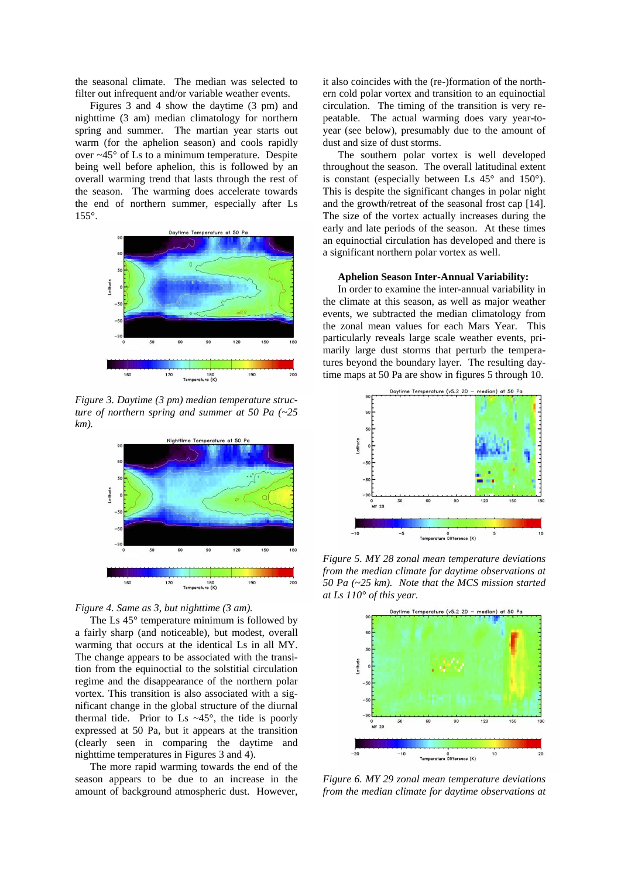the seasonal climate. The median was selected to filter out infrequent and/or variable weather events.

Figures 3 and 4 show the daytime (3 pm) and nighttime (3 am) median climatology for northern spring and summer. The martian year starts out warm (for the aphelion season) and cools rapidly over ~45° of Ls to a minimum temperature. Despite being well before aphelion, this is followed by an overall warming trend that lasts through the rest of the season. The warming does accelerate towards the end of northern summer, especially after Ls 155°.



*Figure 3. Daytime (3 pm) median temperature structure of northern spring and summer at 50 Pa (~25 km).*



#### *Figure 4. Same as 3, but nighttime (3 am).*

The Ls 45° temperature minimum is followed by a fairly sharp (and noticeable), but modest, overall warming that occurs at the identical Ls in all MY. The change appears to be associated with the transition from the equinoctial to the solstitial circulation regime and the disappearance of the northern polar vortex. This transition is also associated with a significant change in the global structure of the diurnal thermal tide. Prior to Ls  $\sim$ 45 $\degree$ , the tide is poorly expressed at 50 Pa, but it appears at the transition (clearly seen in comparing the daytime and nighttime temperatures in Figures 3 and 4).

The more rapid warming towards the end of the season appears to be due to an increase in the amount of background atmospheric dust. However,

it also coincides with the (re-)formation of the northern cold polar vortex and transition to an equinoctial circulation. The timing of the transition is very repeatable. The actual warming does vary year-toyear (see below), presumably due to the amount of dust and size of dust storms.

The southern polar vortex is well developed throughout the season. The overall latitudinal extent is constant (especially between Ls  $45^{\circ}$  and  $150^{\circ}$ ). This is despite the significant changes in polar night and the growth/retreat of the seasonal frost cap [14]. The size of the vortex actually increases during the early and late periods of the season. At these times an equinoctial circulation has developed and there is a significant northern polar vortex as well.

#### **Aphelion Season Inter-Annual Variability:**

In order to examine the inter-annual variability in the climate at this season, as well as major weather events, we subtracted the median climatology from the zonal mean values for each Mars Year. This particularly reveals large scale weather events, primarily large dust storms that perturb the temperatures beyond the boundary layer. The resulting daytime maps at 50 Pa are show in figures 5 through 10.



*Figure 5. MY 28 zonal mean temperature deviations from the median climate for daytime observations at 50 Pa (~25 km). Note that the MCS mission started at Ls 110° of this year.*



*Figure 6. MY 29 zonal mean temperature deviations from the median climate for daytime observations at*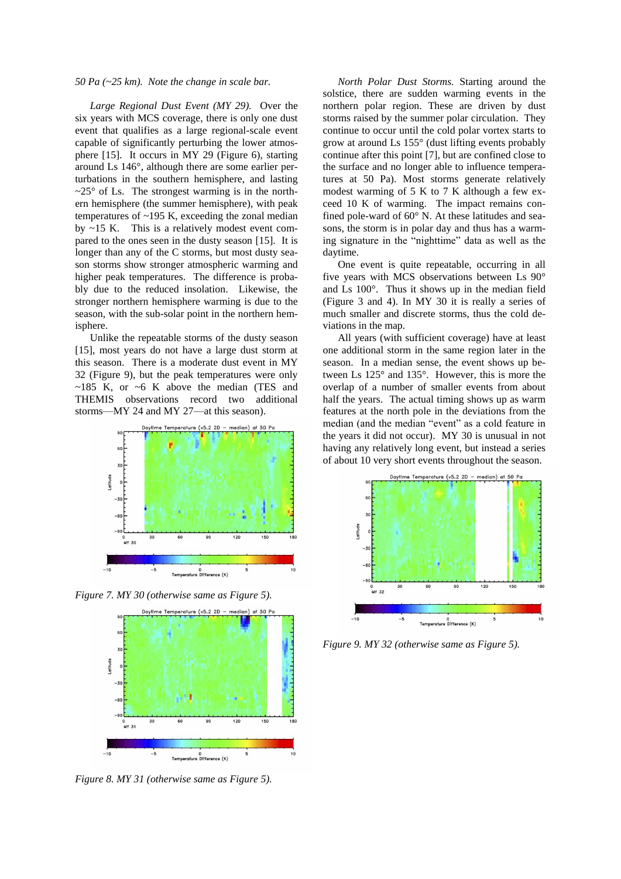## *50 Pa (~25 km). Note the change in scale bar.*

*Large Regional Dust Event (MY 29).* Over the six years with MCS coverage, there is only one dust event that qualifies as a large regional-scale event capable of significantly perturbing the lower atmosphere [15]. It occurs in MY 29 (Figure 6), starting around Ls 146°, although there are some earlier perturbations in the southern hemisphere, and lasting  $\sim$ 25 $\degree$  of Ls. The strongest warming is in the northern hemisphere (the summer hemisphere), with peak temperatures of  $\sim$ 195 K, exceeding the zonal median by ~15 K. This is a relatively modest event compared to the ones seen in the dusty season [15]. It is longer than any of the C storms, but most dusty season storms show stronger atmospheric warming and higher peak temperatures. The difference is probably due to the reduced insolation. Likewise, the stronger northern hemisphere warming is due to the season, with the sub-solar point in the northern hemisphere.

Unlike the repeatable storms of the dusty season [15], most years do not have a large dust storm at this season. There is a moderate dust event in MY 32 (Figure 9), but the peak temperatures were only  $\sim$ 185 K, or  $\sim$ 6 K above the median (TES and THEMIS observations record two additional storms—MY 24 and MY 27—at this season).



*Figure 7. MY 30 (otherwise same as Figure 5).*



*Figure 8. MY 31 (otherwise same as Figure 5).*

*North Polar Dust Storms.* Starting around the solstice, there are sudden warming events in the northern polar region. These are driven by dust storms raised by the summer polar circulation. They continue to occur until the cold polar vortex starts to grow at around Ls 155° (dust lifting events probably continue after this point [7], but are confined close to the surface and no longer able to influence temperatures at 50 Pa). Most storms generate relatively modest warming of 5 K to 7 K although a few exceed 10 K of warming. The impact remains confined pole-ward of 60° N. At these latitudes and seasons, the storm is in polar day and thus has a warming signature in the "nighttime" data as well as the daytime.

One event is quite repeatable, occurring in all five years with MCS observations between Ls 90° and Ls 100°. Thus it shows up in the median field (Figure 3 and 4). In MY 30 it is really a series of much smaller and discrete storms, thus the cold deviations in the map.

All years (with sufficient coverage) have at least one additional storm in the same region later in the season. In a median sense, the event shows up between Ls 125° and 135°. However, this is more the overlap of a number of smaller events from about half the years. The actual timing shows up as warm features at the north pole in the deviations from the median (and the median "event" as a cold feature in the years it did not occur). MY 30 is unusual in not having any relatively long event, but instead a series of about 10 very short events throughout the season.



*Figure 9. MY 32 (otherwise same as Figure 5).*